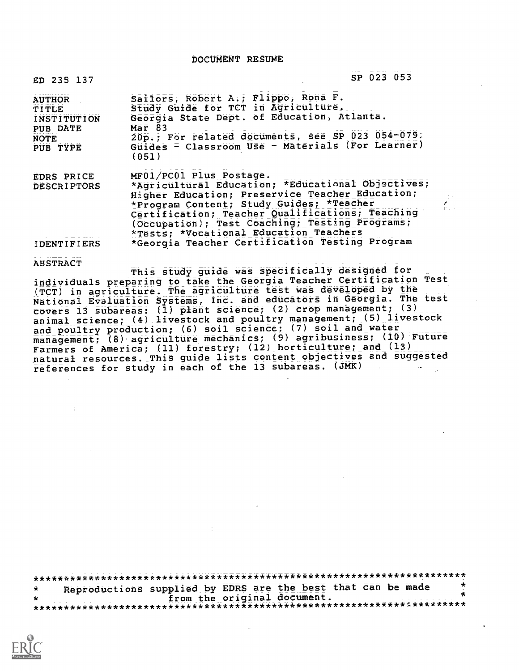DOCUMENT RESUME

| ED 235 137                                                                   | SP 023 053                                                                                                                                                                                                                                                                                                                                                                   |  |
|------------------------------------------------------------------------------|------------------------------------------------------------------------------------------------------------------------------------------------------------------------------------------------------------------------------------------------------------------------------------------------------------------------------------------------------------------------------|--|
| <b>AUTHOR</b><br>TITLE<br><b>INSTITUTION</b><br>PUB DATE<br>NOTE<br>PUB TYPE | Sailors, Robert A.; Flippo, Rona F.<br>Study Guide for TCT in Agriculture.<br>Georgia State Dept. of Education, Atlanta.<br>Mar 83<br>20p.; For related documents, see SP 023 054-079.<br>Guides = Classroom Use - Materials (For Learner)<br>(051)                                                                                                                          |  |
| <b>EDRS PRICE</b><br><b>DESCRIPTORS</b><br><b>IDENTIFIERS</b>                | MF01/PC01 Plus Postage.<br>*Agricultural Education; *Educational Objectives;<br>Higher Education; Preservice Teacher Education;<br>*Program Content; Study Guides; *Teacher<br>Certification; Teacher Qualifications; Teaching<br>(Occupation); Test Coaching; Testing Programs;<br>*Tests; *Vocational Education Teachers<br>*Georgia Teacher Certification Testing Program |  |

ABSTRACT

This study guide was specifically designed for individuals preparing to take the Georgia Teacher Certification Test (TCT) in agriculture. The agriculture test was developed by the National Evaluation Systems, Inc. and educators in Georgia. The test covers 13 subareas: (1) plant science; (2) crop management; (3) animal science; (4) livestock and poultry management; (5) livestock and poultry production; (6) soil science; (7) soil and water  $\frac{1}{2}$  management; (8) agriculture mechanics; (9) agribusiness; (10) Future Farmers of America; (11) forestry; (12) horticulture; and (13) natural resources. This guide lists content objectives and suggested references for study in each of the 13 subareas. (JMK)

\*\*\*\*\*\*\*\*\*\*\*\*\*\*\*\*\*\*\*\*\*\*\*\*\*\*\*\*\*\*\*\*\*\*\*\*\*\*\*\*\*\*\*\*\*\*\*\*\*\*\*\*\*\*\*\*\*\*\*\*\*\*\*\*\*\*\*\*\*\*\* Reproductions supplied by EDRS are the best that can be made from the original document. ÷ \*\*\*\*\*\*\*\*\*\*\*\*\*\*\*\*\*\*\*\*\*\*\*\*\*\*\*\*\*\*\*\*\*\*\*\*\*\*\*\*\*\*\*\*\*\*\*\*\*\*\*\*\*\*\*\*\*\*\*\*\*1.\*\*\*\*\*\*\*\*\*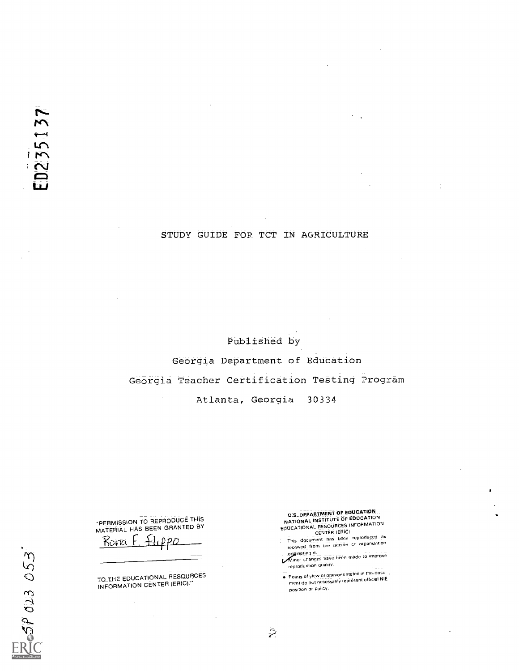# STUDY GUIDE FOR TCT IN AGRICULTURE

Published by Georgia Department of Education Georgia Teacher Certification Testing Program Atlanta, Georgia 30334

 $\tilde{z}$ 

"PERMISSION TO REPRODUCE THIS MATERIAL HAS BEEN GRANTED BY Rona F. Hippo

TO THE EDUCATIONAL RESOURCES<br>INFORMATION CENTER (ERIC).''

U.S. DEPARTMENT OF EDUCATION<br>NATIONAL INSTITUTE OF EDUCATION<br>EDUCATIONAL RESOURCES INFORMATION<br>EDUCATIONAL CENTER (BRIC)

- This document has been reproduced as received from the person Cr organization
- orminating it.<br>Minor changes have been made to improve reproduction quality.
- Pomts of view or opinions stateo m this docu ment do nut necessarily represent official NIE position or policy.

 $57013053$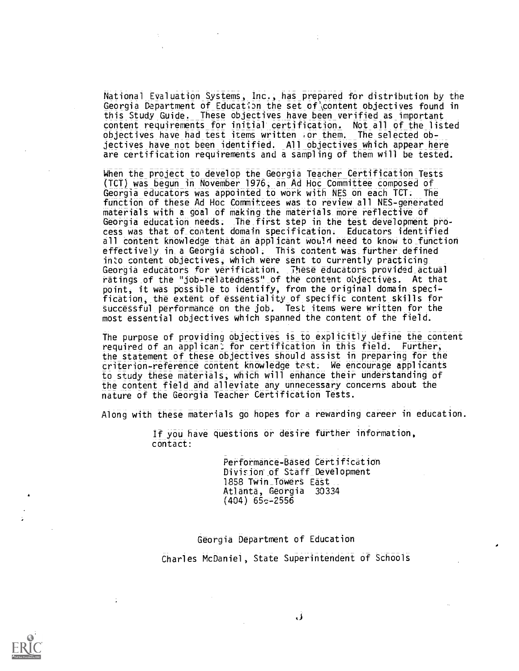National Evaluation Systems, Inc., has prepared for distribution by the Georgia Department of Education the set of content objectives found in this Study Guide. These objectives have been verified as important content requirements for initial' certification. Not all of the listed objectives have had test items written ior them. The selected objectives have not been identified. All objectives which appear here are certification requirements and a sampling of them will be tested.

When the project to develop the Georgia Teacher Certification Tests (TCT) was begun in November 1976; an Ad Hoc Committee composed of Georgia educators was appointed to work with NES on each TET. The function of these Ad Hoc Committees was to review all NES-generated materials with a goal of making the materials more reflective of Georgia education needs; The\_first step in the test development process was that of\_content domain specification; Educators identified all content knowledge that an applicant would need to know to\_function effectively in a Georgia school. This content was further defined into content objectives, which were sent to currently practicing Georgia educators for verification. These educators provided actual ratings of the "job-relatedness" of the content objectives. At that point, it was possible to identify, from the original domain specification, the extent of essentiality of specific content skills for successful performance on the job. Test items were written for the most essential objectives which spanned the content of the field.

The purpose of providing objectives is to explicitly define the content required of an applicant for certification in this field. Further, the statement of these objectives should assist in preparing for the criterion-reference content knowledge test. We encourage applicants to study these materials; which will enhance their understanding of the content field and alleviate any unnecessary concerns about the nature of the Georgia Teacher Certification Tests.

Along with these materials go hopes for a rewarding career in education.

If you have questions or desire further information, contact:

> Performance-Based Certification Division of Staff Development 1858 Twin Towers East Atlanta, Georgia 30334 (404) 65c-2556

Georgia Department of Education Charles McDaniel, State Superintendent of Schools

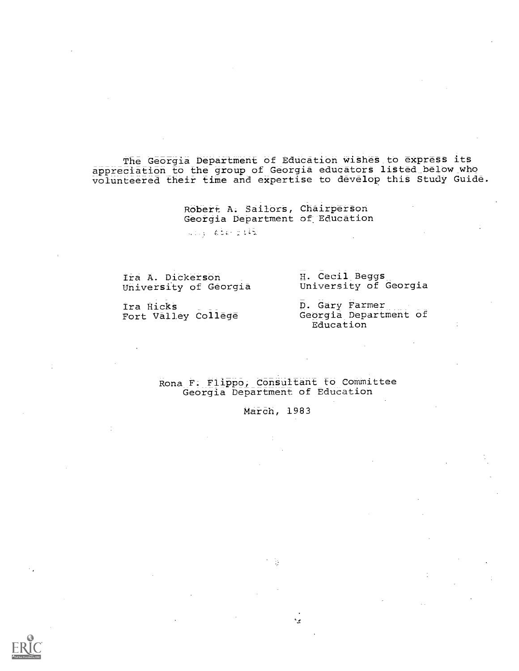The Georgia Department of Education wishes to express its appreciation to the group of Georgia educators listed\_below\_Who volunteered their time and expertise to develop thiS Study Guide.

> Robert A. Sailors, Chairperson Georgia Department of Education

 $414.6667242$ 

Ira A. Dickerson University of Georgia H. Cecil Beggs UniverSity of Georgia

Ira Hicks Fort Valley College D. Gary Farmer Georgia Department of Education

Rona F. Flippo; Consultant to Committee Georgia Department of Education

March, 1983

بيء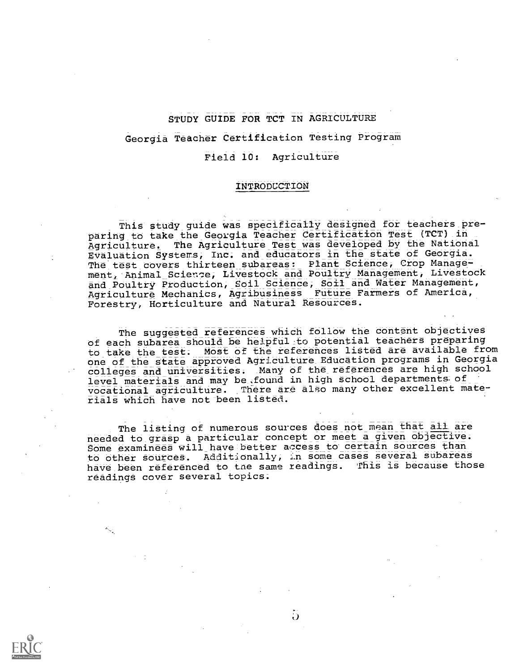# STUDY GUIDE FOR TCT IN AGRICULTURE

# Georgia Teacher Certification Testing Program

#### Field 10: Agriculture

#### INTRODUCTION

This study quide was specifically designed for teachers preparing to take the Georgia Teacher Certification Test (TCT) in Agriculture. The Agriculture Test was developed by the National EValuation Systems, Inc; and educators in the state of Georgia. The test covers thirteen subareas: Plant Science, Crop Manage-<br>ment, Animal\_Science, Livestock and Poultry Management, Livestock and Poultry Production, Soil Science, Soil and Water Management, Agriculture Mechanics, Agribusiness Future Farmers of America, Forestry, Horticulture and Natural Resources.

The suggested references which follow the content objectives of each subarea should be helpful to potential teachers preparing to take the test. Most of the references listed are available from one of the state approved Agriculture Education programs in Georgia colleges and universities. Many of the references are high school level materials and may be,found in high school departments. of vocational agriculture. There are also many other excellent materials which have not been listed.

The listing of numerous sources does not mean that all are needed to grasp a particular concept or meet a given objective. Some examinees will have better access to certain sources than to other sources. Additionally, in some cases several subareas have been referenced to the same readings. This is because those readings cover several topics.

 $\ddot{\bm{\omega}}$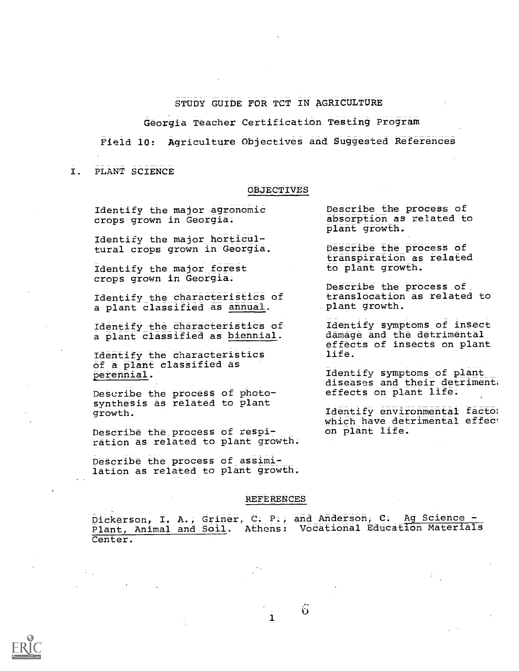# STUDY GUIDE FOR TCT IN AGRICULTURE

Georgia Teacher Certification Testing Program

Field 10: Agriculture Objectives and Suggested References

#### I. PLANT SCIENCE

#### OBJECTIVES

Identify the major agronomic crops grown in Georgia.

Identify the major horticultural crops grown in Georgia.

Identify the major forest crops grown in Georgia.

Identify the characteristics of a plant classified as annual.

Identify the characteristics of a plant classified as biennial.

Identify the characteristics of a plant classified as perennial.

Describe the process of photosynthesis as related to plant growth.

DeSCribe the process of respiration as related to plant growth;

Describe the process of assimilation as related to plant growth.

#### REFERENCES

Dickerson, I. A., Griner, C. P., and Anderson, C. Ag Science - Plant, Animal and Sail. Athens: Vocational Education Materials Center.

 $\mathbf{1}$  and  $\mathbf{1}$ 

 $\ddot{\mathbf{0}}$ 

Describe the process of absorption as related to plant growth.

Describe the process of transpiration as related to plant growth.

Describe the process of translocation as related to plant growth.

Identify symptoms of insect damage and the detrimental effects of insects on plant life.

Identify symptoms of plant diseases and their detriment, effects on plant life.

Identify environmental facto: which have detrimental effect on plant life.

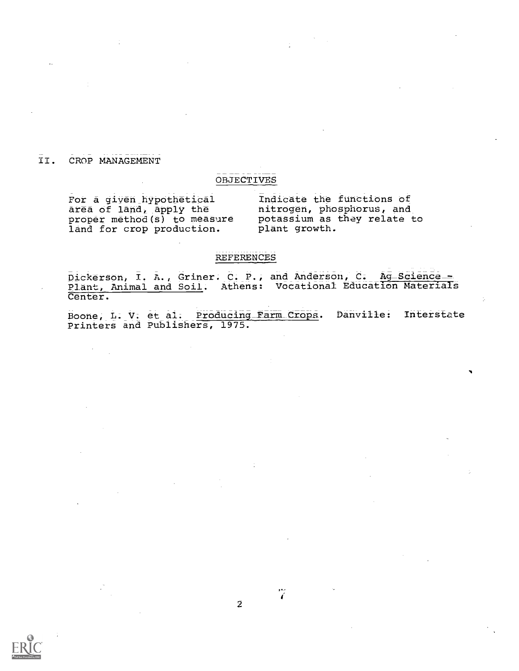# II. CROP MANAGEMENT

 $\sim$ 

# OBJECTIVES

For a given hypothetical area of land, apply the proper method(s) to measure land for crop production.

Indicate the functions of nitrogen, phosphorus, and potassium as they relate to plant growth.

# REFERENCES

 $\bar{\texttt{Dickerson}}$ ,  $\bar{\texttt{I}}$ ,  $\bar{\texttt{A}}$ , Griner. C. P., and Anderson, C. Ag Science -Plant, Animal and Soil. Athens: Vocational Education Materials Center.

Boone, L. V. et al. Producing Farm Crops. Danville: Interstate Printers and Publishers, 1975.



Ÿ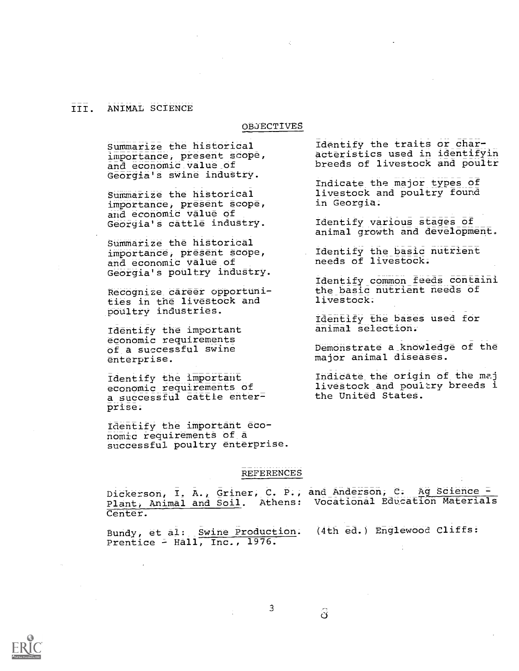### III. ANIMAL SCIENCE

#### OBJECTIVES

Summarize the historical importance; present scope, and economic value\_ of Georgia's swine industry.

Summarize the historical importance; present scope, and economic Value of Georgia's cattle industry.

Summarize the historical importance, present Scope, and economic value of Georgia's poultry industry.

Recognize career opportunities in the livestock and poultry industries.

Identify the important economic requirements of a successful swine enterprise.

Identify the important economic requirements of a successful cattle enter= prise;

Identify the important edo- nomic requirements of a successful poultry enterprise.

Identify the traits or characteristics used in identifyin breeds of livestock and poultr

Indicate the major types of livestock and poultry found in Georgia.

Identify various stages of animal growth and development.

Identify the basic nutrient needs of livestock.

Identify common feeds containi the basic nutrient needs of livestock;

Identify the bases used for animal selection.-

Demonstrate a knowledge of the major animal diseases.

Indicate the origin of the me.j livestock and poultry breeds i the United States.

#### REFERENCES

3

Dickerson, I. A., Griner, C. P., and Anderson, C. Ag Science -Plant; Animal and Soil. Athens: Vocational Education Materials Center.

Bundy, et al: Swine Production. (4th ed.) Englewood Cliffs: Prentice - Hall, Inc., 1976.

ි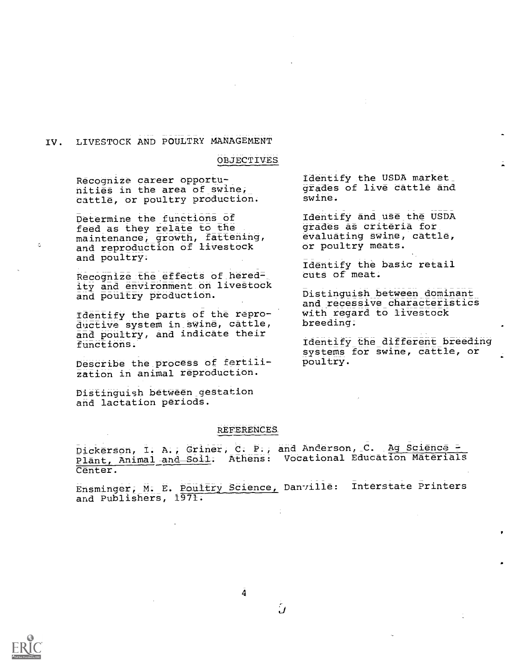# IV. LIVESTOCK AND POULTRY MANAGEMENT

#### OBJECTIVES

Recognize career opportunities in the area of swine, cattle, or poultry production.

Determine the functions of feed as they relate to the maintenance, growth, fattening, and reproduction of livestock and poultry;

Recognize the\_effects of heredity and environment on livestock and poultry production.

Identify the parts of the reproductive system in\_swine, cattle, and poultry, and indicate their functions.'

Describe the\_process of fertilization in animal reproduction.

Distinguish between gestation and lactation periods.

#### REFERENCES

Dickerson, I. A., Griner, C. P., and Anderson, C. Ag Science = Plant, Animal and Soil. Athens: Vocational Education Materials Center.

Ensminger, M. E. Poultry Science, Danville: Interstate Printers and Publishers, 1971.

်

4



 $\mathcal{E}_1$ 

Identify the USDA market\_ grades of live cattle and swine.

Identify and use the USDA grades as criteria for evaluating swine, cattle, or poultry meats.

Identify the basic retail cuts of meat.

Distinguish between dominant and recessive characteristics with regard to livestock breeding.

Identify the different breeding systems for swine, cattle, or poultry.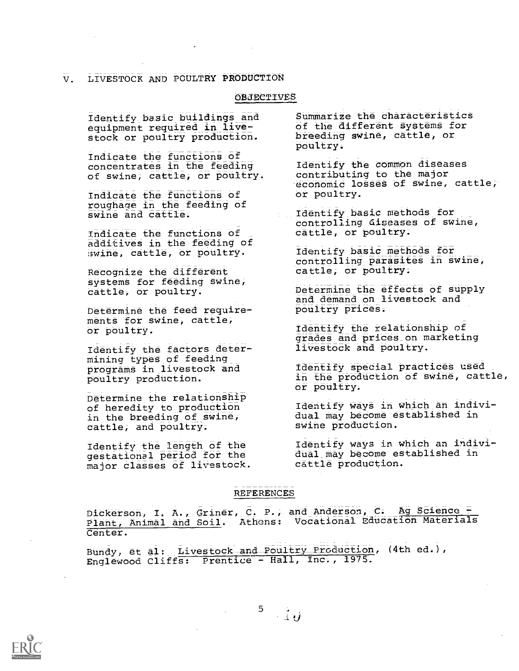### V. LIVESTOCK AND POULTRY PRODUCTION

#### OBJECTIVES

Identify\_basic buildings and equipment required in livestock or poultry production.

Indicate the functions of concentrates in the feeding of swine, cattle, or poultry.

Indicate the functions of roughage in the feeding of swine and cattle.

Indicate the functions of additives in the feeding of swine, cattle, or poultry.

Recognize the different systems for feeding Swine, cattle, or poultry.

Determine the feed requirements for swine, cattle, or poultry.

Identify the factors determining types of feeding programs in livestock and poultry production.

Determine the relationship of heredity to production in the breeding of swine, cattle, and poultry.

Identify the length of the gestational period for the major classes of livestock. Summarize the characteristics of the different systems for breeding swine, cattle, or poultry.

Identify the common diseases contributing to the major economic losses of swine, cattle, or poultry.

Identify basic methods for controlling diseases of swine, cattle, or poultry.

Identify basic methods for controlling parasites in swine, cattle, or poultry.

Determine the effects of supply and demand on livestock and poultry prices.

Identify the relationship of grades and prices\_on marketing livestock and poultry.

Identify special practices used in the production of swine, cattle, or poultry.

Identify ways in which an individual may become established in swine production.

Identify ways in which an individual\_may become established in cattle production.

### REFERENCES

Dickerson, I. A., Griner, C. P., and Anderson, C. Ag Science -Plant, Animal and Soil. Athens: Vocational Education Materials Center.

Bundy, et al: Livestock and Poultry Production, (4th ed.), Englewood Cliffs: Prentice - Hall, Inc., 1975.

 $5^{\circ}$  $\rightarrow \tilde{1}$   $\vec{y}$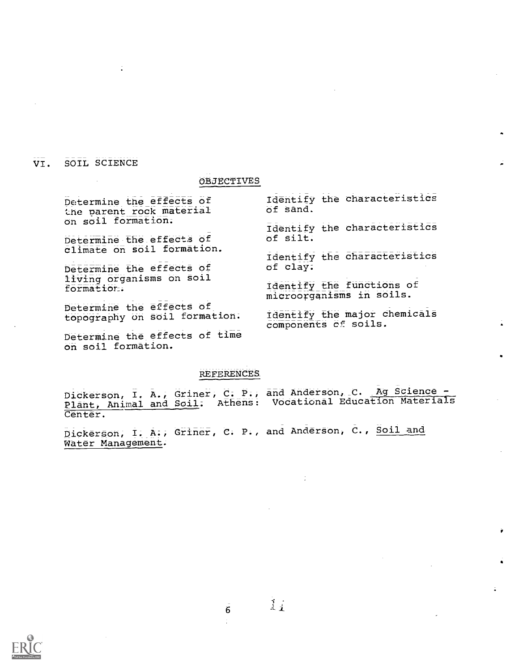### VI. SOIL SCIENCE

#### OBJECTIVES

Determine the effects of the parent rock material on soil formation.

Determine the effects of climate on soil formation.

Determine the effects of living organisms on soil formation.

Determine the effects of topography on Soil formation.

Determine the effects of time on soil formation.

Identify the characteristics Of sand.

Identify the characteristics of Silt.

Identify the characteristics of clay.

Identify the functions of microorganisms in soils.

Identify the major chemicals components of soils.

**REFERENCES** 

Dickerson, I. A., Griner, C. P., and Anderson, C. Ag Science -Plant, Animal and Soil: Athens: Vocational Education Materials Center.

Dickerson, I. A., Griner, C. P., and Anderson, C., Soil and Water Management.



6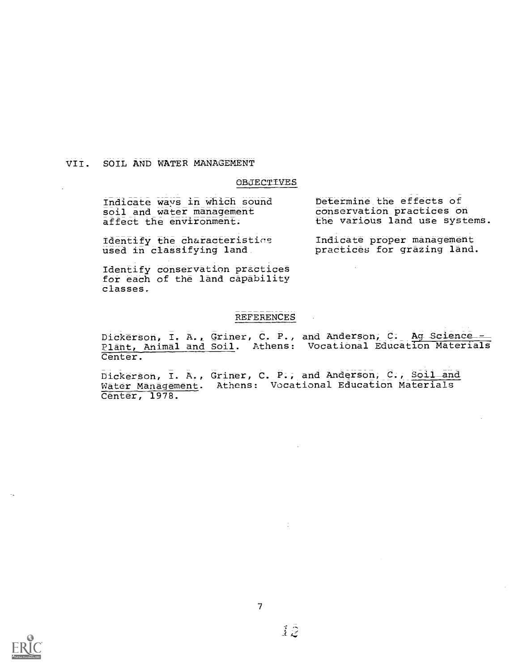#### VII. SOIL AND WATER MANAGEMENT

#### OBJECTIVES

Indicate ways in which sound soil and water management affect the environment.

 $\mathtt{Identity}$  the characteristics  $\quad \quad \mathtt{I}$ used in classifying land.

Determine the effects of conservation practices on the various land use systems.

Indicate proper management practices for grazing land.

Identify conservation practices for each of the land capability Classes.

# REFERENCES

Dickerson, I. A., Griner, C. P., and Anderson, C. Ag Science\_-Plant, Animal and Soil. Athens: Vocational Education Materials Center.

Dickerson, I. A., Griner, C. P., and Anderson, C., Soil and Water Management. Athens: Vocational Education Materials Center, 1978.



7

 $\bar{1}\bar{2}$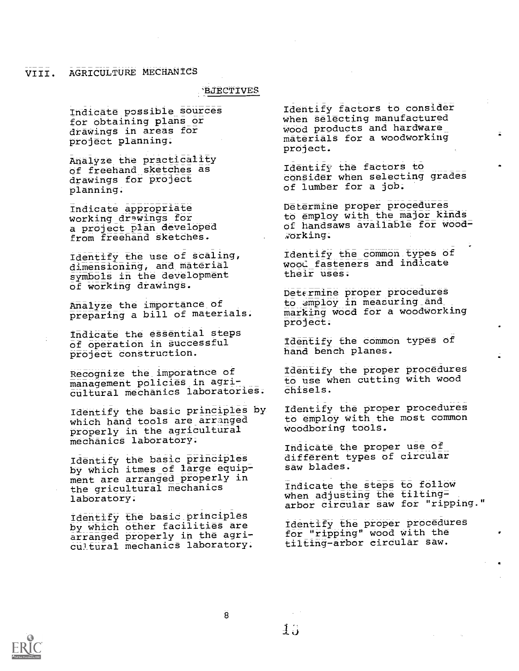# VIII. AGRICULTURE MECHANICS

#### **BJECTIVES**

Indicate possible sources for obtaining plans or drawings in areas for project planning;

Analyze the practicality of freehand sketches as drawings for project planning.

Indicate appropriate working drwings for a project plan developed from freehand sketches.

Identify the use of scaling, dimensioning, and material symbols in the development of working drawings.

Analyze the importance of preparing a bill of materials.

Indicate the essential steps of operation in Successful project construction.

Recognize the imooratnce of management policies in agricultural mechanics laboratories.

Identify the basic principles by which hand tools are arranged properly in the agricultural mechanics laboratory.

Identify the basic principles by which itmes of large equip= ment are arranged properly in the gricultural mechanics laboratory.

Identify the basic principles by which other facilities are arranged properly in the agricultural mechanics laboratory.

Identify factors to consider When selecting manufactured wood products and hardware Materials for a woodworking project.

1dehtify the factors to consider when selecting grades Of lumber for a job;

Determine proper procedures to employ with the major kinds of handsaws available for woodworking.

Identify the common types of wood fasteners and indicate their uses.

Determine proper procedures to amploy in measuring and marking wood for a woodworking project.

Identify the common types of hand bench planes.

Identify the proper procedures to use when cutting with wood chisels.

Identify the proper procedures to employ with the most common woodboring tools.

Indicate the proper use of different types of circular saw blades.

Indicate the steps to follow when adjusting the tiltingarbor circular saw for "ripping."

Identify the proper procedures tor 'ripping" wood with the tilting-arbor circular saw.



 $\overline{8}$ 

 $1$   $\cdot$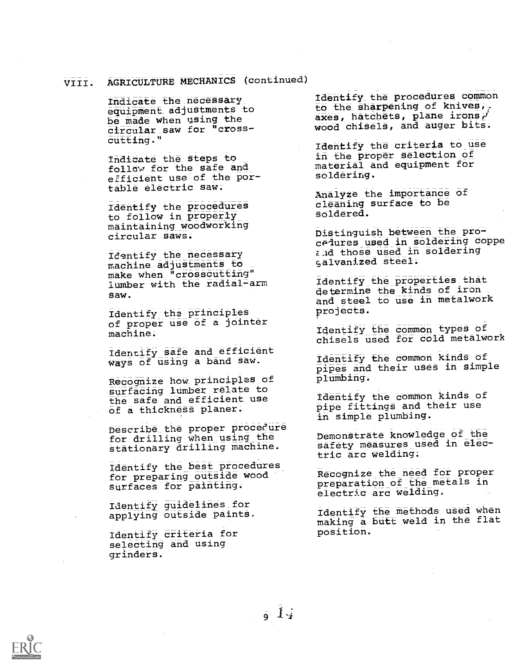# VIII. AGRICULTURE MECHANICS (continued)

Indicate the necessary\_ equipment adjustments to be made when using the circular saw for "cross $cutting.$ "

Indicate the steps to follow for the safe and efficient use of the portable electric saw.

Identify the procedures to follow in properly maintaining woodworking circular saws;

Identify the necessary machine adjustments to make when "crosscutting" lumber with the radial-arm saw.

Identify the principles of proper use of a jointer machine.

Identify safe and efficient ways of using a band saw.

Recognize how principles of surfacing lumber relate to the safe and efficient use of a thickness planer.

Describe the proper proceeure for drilling when using the stationary drilling machine.

Identify the best procedures for preparing outside wood surfaces for painting.

Identify guidelines\_for applying outside paints.

Identify criteria for selecting and using grinders.

Identify the procedures common to the sharpening of knives, axes, hatchets, plane irons  $r'$ wood chisels, and auger bits.

Identify the criteria to use in the proper Selection of material and equipment for soldering.

Analyze the importance of cleaning surface to be Soldered.

Distinguish between the procedures used in soldering coppe and those used in soldering Galvanized steel.

Identify the properties that determine the kinds of iron and steel to use in metalwork projects.

Identify the common types of chisels used for cold metalwork

Identify the common kinds of pipes and their uses in simple plumbing.

Identify the common kinds of pipe fittings and their use in simple plumbing.

DemonStrate knowledge of the safety measures used in electric arc welding.

Recognize\_the need for proper preparation of the metals in electric arc welding.

Identify the methods used when making a butt weld in the flat position.

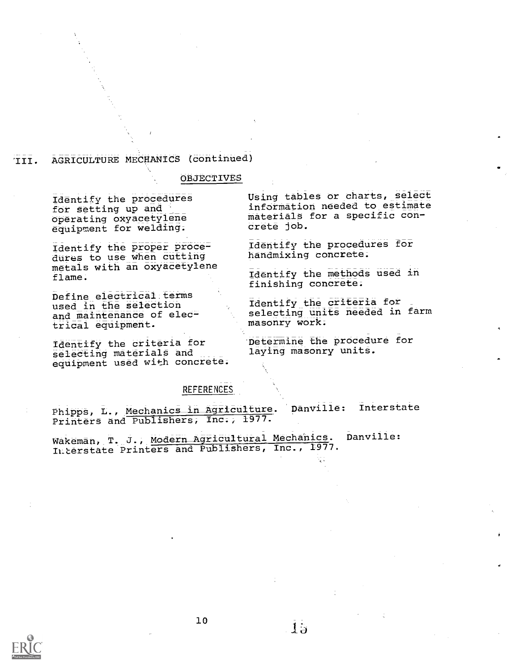# 'III. AGRICULTURE MECHANICS (continued)

#### OBJECTIVES

Identify the procedures for setting up and Operating oxyacetylene equipment for welding.

Identify the proper procedures to use when cutting metals with an oxyacetylene flame;

Define electrical:terms used in the selection and maintenance of electrical equipment.

Identify the criteria for selecting materials and equipment used with concrete: Using tables or charts, select information needed to estimate materials for a specific concrete job.

Identify the procedures for handmixing concrete.

Identify the methods used in finishing concrete.

Identify the criteria for<br>selecting units needed in farm masonry work.

'Determine the procedure for laying masonry units.

#### **REFERENCES**

Phipps, L., Mechanics in Agriculture. Danville: Interstate Printers and Publishers, Inc., 1977.

Wakeman, T. J., Modern Agricultural Mechanics. Danville: ILterstate Printers and Publishers, Inc., 1977.



 $15$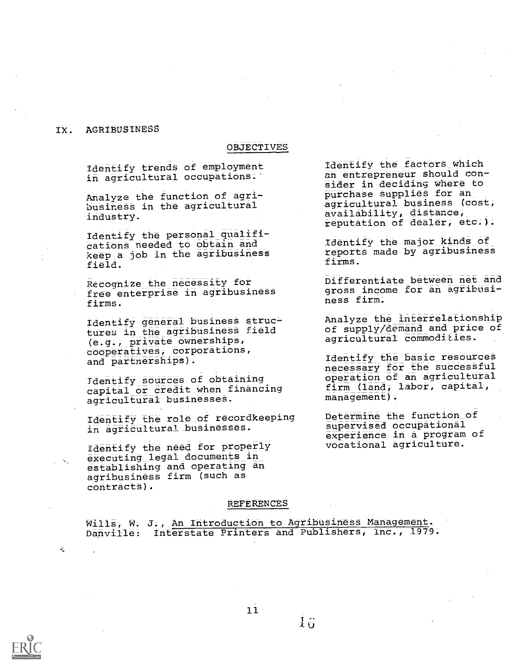#### IX. AGRIBUSINESS

 $\mathcal{L}_\text{c}$ 

#### OBJECTIVES

Identify trend8 of employment in agricultural occupations.

Analyze the function of agribusiness in the agricultural industry.

Identify the personal qualifications needed to obtain and keep\_a job in the agribusiness field.

Recognize the necessity for free enterprise in agribusiness firms.

Identify general business struc= tures in the agribusiness field (e.g.; private ownerships, cooperatives, corporations, and partnerships).

Tdentify sources of obtaining capital or credit when financing agricultural businesses.

Identify the role of recordkeeping in agricultural.businesses.

Identify the need for properly executing legal documents in establishing and operating an agribusiness firm (such as contracts).

identify the factors which an entrepreneur should consider in deciding where to purchase supplies for an agricultural business (cost; availability, distance, reputation of dealer, etc.).

Identify the major kinds of reports made by agribusiness firms.

Differentiate between net and gross income for an agribusiness firm.

Analyze the interrelationship of supply/demand and price of agricultural commodities.

Identify the basic resources necessary for the successful operation of an agricultural firm (land, labor, capital, management).

Determine the function of supervised occupational experience in a program of vocational agriculture.

#### REFERENCES

Wills, W. J., An Introduction to Agribusiness Management. Danville: Interstate Printers and Publishers, Inc., 1979.

 $11$ 

 $1\,\mathrm{g}$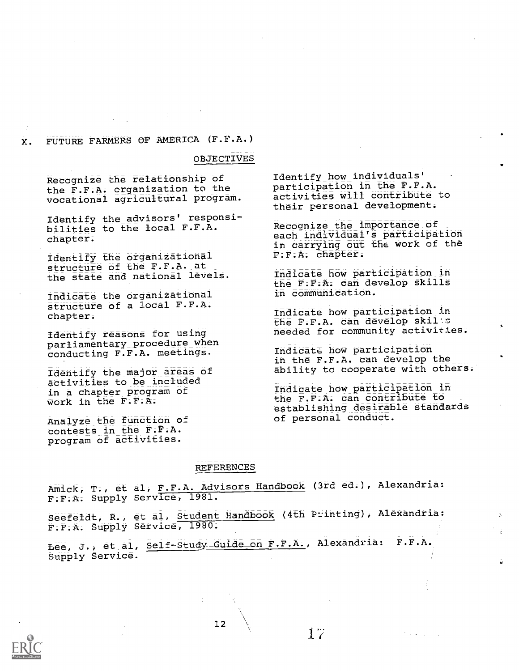# X. FUTURE FARMERS OF AMERICA (F.F.A.)

OBJECTIVES

Recognize the relationship of the F.F.A. organization to the vocational agricultural program.

Identify the advisors' responsibilities to the local F.F.A. chapter.

Identify the organizational structure of the F.F.A. at the state and national levels.

Indicate the organizational structure of a local F.F.A. chapter.

Identify reasons for using parliamentary procedure when conducting F.F.A. meetings.

Identify the major areas of activities to be included in a chapter program of work in the F.F.A.

Analyze the function of contests in the F.F.A. program of activities.

Identify how individuals' participation in the F.F.A. activities will contribute to their personal development.

Recognize the importance of each individual's participation in carrying out the work of the P.F.A. chapter.

Indicate how participation in the F.F.A. can develop Skills in communication.

Indicate how participation in the F.F.A. can develop skilts needed for community activities.

Indicate how participation in the F.F.A. can develop the ability to cooperate with others.

Indicate how participation in the F.F.A. can contribute to establishing desirable standards of personal conduct.

 $\mathcal{F} \in \mathcal{F}$  ,  $\mathcal{F} \in \mathcal{F}$ 

#### REFERENCES

Amick, T., et al, F.P.A. Advisors Handbook (3rd ed.), Alexandria: F.F.A. Supply Service, 1981.

Seefeldt, R., et al, Student Handbook (4th Printing), Alexandria: F.F.A. Supply Service, 1980.

Lee, J., et al, Self-Study-Guide on F.F.A., Alexandria: F.F.A. Supply Service.



 $12$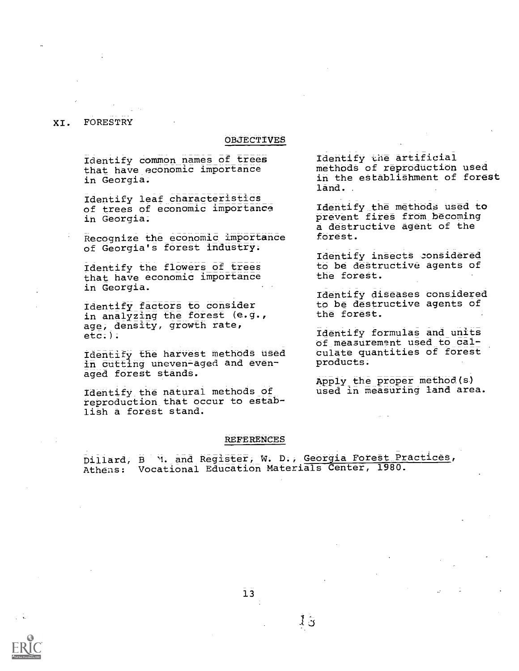# XI. FORESTRY

### OBJECTIVES

Identify common names of trees that have economic importance in Georgia.

Identify leaf characteristics of trees of economic importance in Georgia.

Recognize the economic importance of Georgia's forest industry.

Identify the flowers of trees that have economic importance in Georgia.

Identify factors to consider in analyzing the forest (e.g., age, density, growth rate, etc.).

Identify the harvest methods used in cutting uneven-aged and evenaged forest stands.

Identify the natural methods of reproduction that occur to establish a forest stand.

Identify the artificial methods of reproduction used in the establishment of forest land.

Identify the methods used to prevent fires from becoming a destructive agent of the forest.

Identify insects zonsidered to be destructive agents of the forest.

Identify diseases considered to be destructive agents of the forest.

Identify formulas and units of measurement used to calculate quantities of forest products;

Apply the proper method. (s.) used in measuring land area.

#### **REFERENCES**

Dillard, B M. and Register, W. D;, Georgia Forest\_ Practices, Athens: Vocational Education Materials Center, 1980.



 $13$ 

 $1\,\tilde{\sigma}$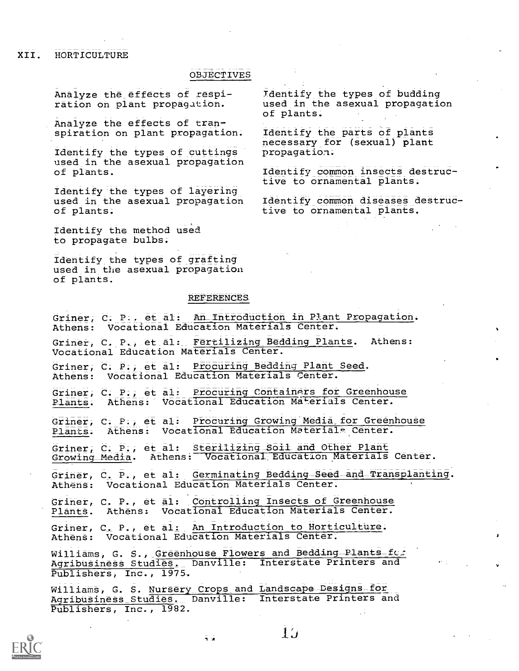XII. HORTICULTURE

#### OBJECTIVES

Analyze the effects of respiration on plant propagation.

Analyze the effects of transpiration on plant propagation.

Identify the types of cuttings used in the asexual propagation of plants.

Identify the types of layering used in the asexual propagation of plants.

Identify the method used to propagate bulbs.

Identify the types of grafting used in the asexual propagation of plants.

#### **REFERENCES**

Griner, C. P.. et al: An-introduction in Plant Propagation. Athens: Vocational Education Materials Center. Griner, C. P., et al: Fertilizing Bedding Plants. Athens:

Vocational Education Materials Center.

Griner, C. P., et al: Procuring Bedding Plant Seed. Athens: Vocational Education Materials Center.

Griner, C. P.; et al: Procuring Containers for Greenhouse Plants. Athens: Vocational Education Materials Center.

Griner, C. P., et al: Procuring Growing Media for Greenhouse Plants. Athens: Vocational Education Materials Center.

Griner, C. P., et al: Sterilizing Soil and Other Plant Growing Media. Athens: Vocational Education Materials Center.

Griner, C. P., et al: Germinating Bedding Seed and Transplanting. Athens: Vocational Education Materials Center.

Griner, C. P., et al: Controlling Insects of Greenhouse Plants. Athens: Vocational Education Materials Center.

Griner, C. P., et al: An Introduction to Horticulture. Athens: Vocational Education Materials Center.

Williams, G. S., Greenhouse Flowers and Bedding Plants fc. Agribusiness Studies. Danville: Interstate Printers and Publishers, Inc., 1975.

Williams, G. S. Nursery Crops and Landscape Designs for Agribusiness Studies.- Danville: Interstate Printers and Publishers, Inc., 1982.

言言



Identify the types of budding used in the asexual propagation of plants.

Identify the parts of plants necessary for (sexual) plant propagation.

Identify common insects destructive to ornamental plants.

Identify common diseases destructive to ornamental plants.